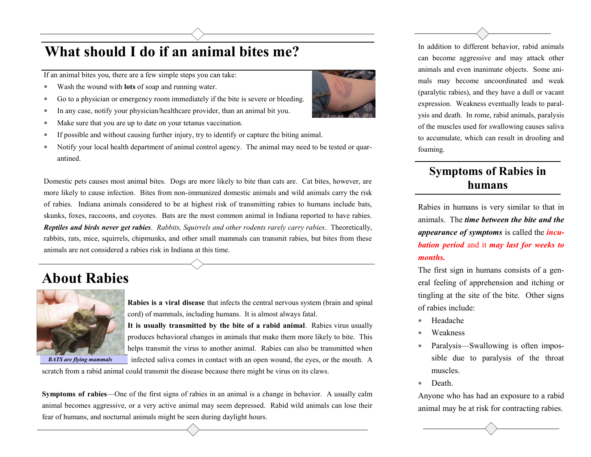## **What should I do if an animal bites me?**

If an animal bites you, there are a few simple steps you can take:

- Wash the wound with **lots** of soap and running water.
- Go to a physician or emergency room immediately if the bite is severe or bleeding.
- In any case, notify your physician/healthcare provider, than an animal bit you.
- Make sure that you are up to date on your tetanus vaccination.
- If possible and without causing further injury, try to identify or capture the biting animal.
- Notify your local health department of animal control agency. The animal may need to be tested or quarantined.

Domestic pets causes most animal bites. Dogs are more likely to bite than cats are. Cat bites, however, are more likely to cause infection. Bites from non-immunized domestic animals and wild animals carry the risk of rabies. Indiana animals considered to be at highest risk of transmitting rabies to humans include bats, skunks, foxes, raccoons, and coyotes. Bats are the most common animal in Indiana reported to have rabies. *Reptiles and birds never get rabies*. *Rabbits, Squirrels and other rodents rarely carry rabies*. Theoretically, rabbits, rats, mice, squirrels, chipmunks, and other small mammals can transmit rabies, but bites from these animals are not considered a rabies risk in Indiana at this time.

## **About Rabies**



 *BATS are flying mammals*

**Rabies is a viral disease** that infects the central nervous system (brain and spinal cord) of mammals, including humans. It is almost always fatal.

**It is usually transmitted by the bite of a rabid animal**. Rabies virus usually produces behavioral changes in animals that make them more likely to bite. This helps transmit the virus to another animal. Rabies can also be transmitted when infected saliva comes in contact with an open wound, the eyes, or the mouth. A

scratch from a rabid animal could transmit the disease because there might be virus on its claws.

**Symptoms of rabies**—One of the first signs of rabies in an animal is a change in behavior. A usually calm animal becomes aggressive, or a very active animal may seem depressed. Rabid wild animals can lose their fear of humans, and nocturnal animals might be seen during daylight hours.



In addition to different behavior, rabid animals can become aggressive and may attack other animals and even inanimate objects. Some animals may become uncoordinated and weak (paralytic rabies), and they have a dull or vacant expression. Weakness eventually leads to paralysis and death. In rome, rabid animals, paralysis of the muscles used for swallowing causes saliva to accumulate, which can result in drooling and foaming.

#### **humans Symptoms of Rabies in**

Rabies in humans is very similar to that in animals. The *time between the bite and the appearance of symptoms* is called the *incubation period* and it *may last for weeks to months.* 

The first sign in humans consists of a general feeling of apprehension and itching or tingling at the site of the bite. Other signs of rabies include:

- Headache
- Weakness
- Paralysis—Swallowing is often impossible due to paralysis of the throat muscles.
- Death.

Anyone who has had an exposure to a rabid animal may be at risk for contracting rabies.